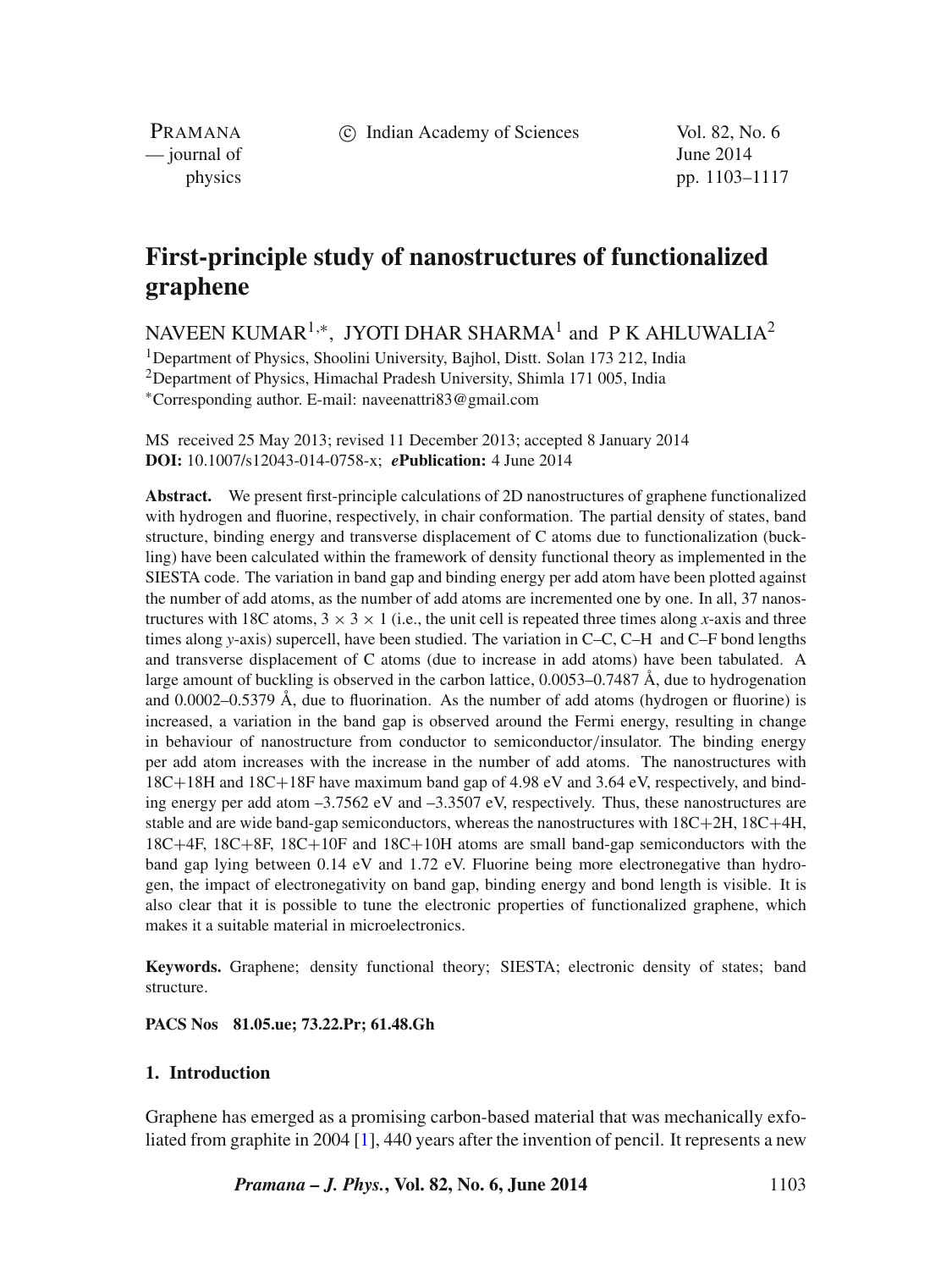c Indian Academy of Sciences Vol. 82, No. 6

PRAMANA  $\frac{1}{2014}$   $\frac{1}{2014}$ 

physics pp. 1103–1117

# **First-principle study of nanostructures of functionalized graphene**

## NAVEEN KUMAR<sup>1,∗</sup>, JYOTI DHAR SHARMA<sup>1</sup> and P K AHLUWALIA<sup>2</sup>

<sup>1</sup>Department of Physics, Shoolini University, Bajhol, Distt. Solan 173 212, India 2Department of Physics, Himachal Pradesh University, Shimla 171 005, India ∗Corresponding author. E-mail: naveenattri83@gmail.com

MS received 25 May 2013; revised 11 December 2013; accepted 8 January 2014 **DOI:** 10.1007/s12043-014-0758-x; *e***Publication:** 4 June 2014

**Abstract.** We present first-principle calculations of 2D nanostructures of graphene functionalized with hydrogen and fluorine, respectively, in chair conformation. The partial density of states, band structure, binding energy and transverse displacement of C atoms due to functionalization (buckling) have been calculated within the framework of density functional theory as implemented in the SIESTA code. The variation in band gap and binding energy per add atom have been plotted against the number of add atoms, as the number of add atoms are incremented one by one. In all, 37 nanostructures with 18C atoms,  $3 \times 3 \times 1$  (i.e., the unit cell is repeated three times along *x*-axis and three times along *y*-axis) supercell, have been studied. The variation in C–C, C–H and C–F bond lengths and transverse displacement of C atoms (due to increase in add atoms) have been tabulated. A large amount of buckling is observed in the carbon lattice, 0.0053–0.7487 Å, due to hydrogenation and 0.0002–0.5379 Å, due to fluorination. As the number of add atoms (hydrogen or fluorine) is increased, a variation in the band gap is observed around the Fermi energy, resulting in change in behaviour of nanostructure from conductor to semiconductor*/*insulator. The binding energy per add atom increases with the increase in the number of add atoms. The nanostructures with 18C+18H and 18C+18F have maximum band gap of 4.98 eV and 3.64 eV, respectively, and binding energy per add atom –3.7562 eV and –3.3507 eV, respectively. Thus, these nanostructures are stable and are wide band-gap semiconductors, whereas the nanostructures with 18C+2H, 18C+4H, 18C+4F, 18C+8F, 18C+10F and 18C+10H atoms are small band-gap semiconductors with the band gap lying between 0.14 eV and 1.72 eV. Fluorine being more electronegative than hydrogen, the impact of electronegativity on band gap, binding energy and bond length is visible. It is also clear that it is possible to tune the electronic properties of functionalized graphene, which makes it a suitable material in microelectronics.

**Keywords.** Graphene; density functional theory; SIESTA; electronic density of states; band structure.

## **PACS Nos 81.05.ue; 73.22.Pr; 61.48.Gh**

## **1. Introduction**

Graphene has emerged as a promising carbon-based material that was mechanically exfoliated from graphite in 2004 [\[1\]](#page-13-0), 440 years after the invention of pencil. It represents a new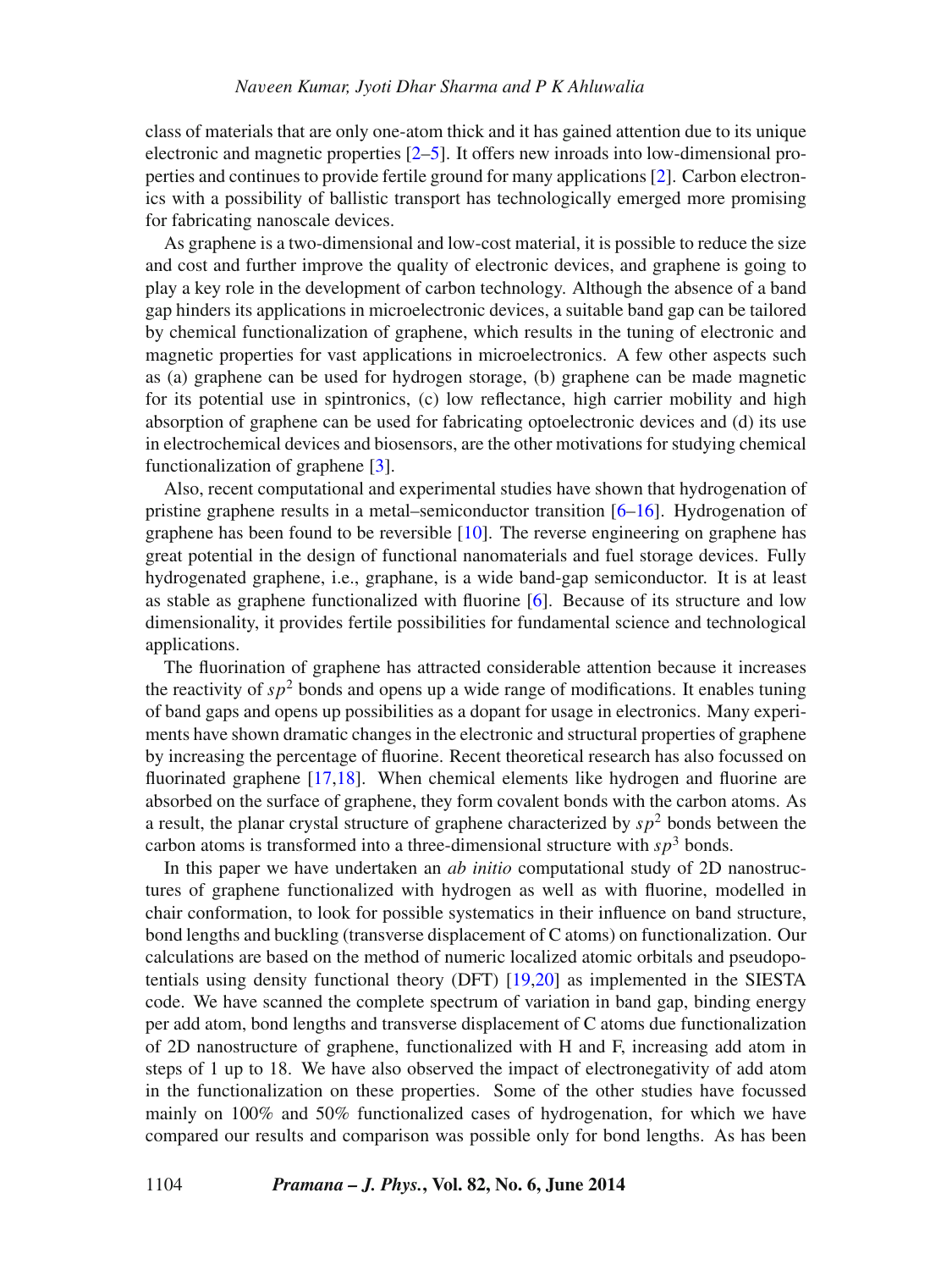class of materials that are only one-atom thick and it has gained attention due to its unique electronic and magnetic properties [\[2–](#page-13-1)[5\]](#page-13-2). It offers new inroads into low-dimensional properties and continues to provide fertile ground for many applications [\[2\]](#page-13-1). Carbon electronics with a possibility of ballistic transport has technologically emerged more promising for fabricating nanoscale devices.

As graphene is a two-dimensional and low-cost material, it is possible to reduce the size and cost and further improve the quality of electronic devices, and graphene is going to play a key role in the development of carbon technology. Although the absence of a band gap hinders its applications in microelectronic devices, a suitable band gap can be tailored by chemical functionalization of graphene, which results in the tuning of electronic and magnetic properties for vast applications in microelectronics. A few other aspects such as (a) graphene can be used for hydrogen storage, (b) graphene can be made magnetic for its potential use in spintronics, (c) low reflectance, high carrier mobility and high absorption of graphene can be used for fabricating optoelectronic devices and (d) its use in electrochemical devices and biosensors, are the other motivations for studying chemical functionalization of graphene [\[3\]](#page-13-3).

Also, recent computational and experimental studies have shown that hydrogenation of pristine graphene results in a metal–semiconductor transition [\[6–](#page-13-4)[16\]](#page-14-0). Hydrogenation of graphene has been found to be reversible  $[10]$ . The reverse engineering on graphene has great potential in the design of functional nanomaterials and fuel storage devices. Fully hydrogenated graphene, i.e., graphane, is a wide band-gap semiconductor. It is at least as stable as graphene functionalized with fluorine [\[6\]](#page-13-4). Because of its structure and low dimensionality, it provides fertile possibilities for fundamental science and technological applications.

The fluorination of graphene has attracted considerable attention because it increases the reactivity of  $sp^2$  bonds and opens up a wide range of modifications. It enables tuning of band gaps and opens up possibilities as a dopant for usage in electronics. Many experiments have shown dramatic changes in the electronic and structural properties of graphene by increasing the percentage of fluorine. Recent theoretical research has also focussed on fluorinated graphene [\[17](#page-14-1)[,18\]](#page-14-2). When chemical elements like hydrogen and fluorine are absorbed on the surface of graphene, they form covalent bonds with the carbon atoms. As a result, the planar crystal structure of graphene characterized by  $sp<sup>2</sup>$  bonds between the carbon atoms is transformed into a three-dimensional structure with  $s p<sup>3</sup>$  bonds.

In this paper we have undertaken an *ab initio* computational study of 2D nanostructures of graphene functionalized with hydrogen as well as with fluorine, modelled in chair conformation, to look for possible systematics in their influence on band structure, bond lengths and buckling (transverse displacement of C atoms) on functionalization. Our calculations are based on the method of numeric localized atomic orbitals and pseudopotentials using density functional theory (DFT) [\[19](#page-14-3)[,20\]](#page-14-4) as implemented in the SIESTA code. We have scanned the complete spectrum of variation in band gap, binding energy per add atom, bond lengths and transverse displacement of C atoms due functionalization of 2D nanostructure of graphene, functionalized with H and F, increasing add atom in steps of 1 up to 18. We have also observed the impact of electronegativity of add atom in the functionalization on these properties. Some of the other studies have focussed mainly on 100% and 50% functionalized cases of hydrogenation, for which we have compared our results and comparison was possible only for bond lengths. As has been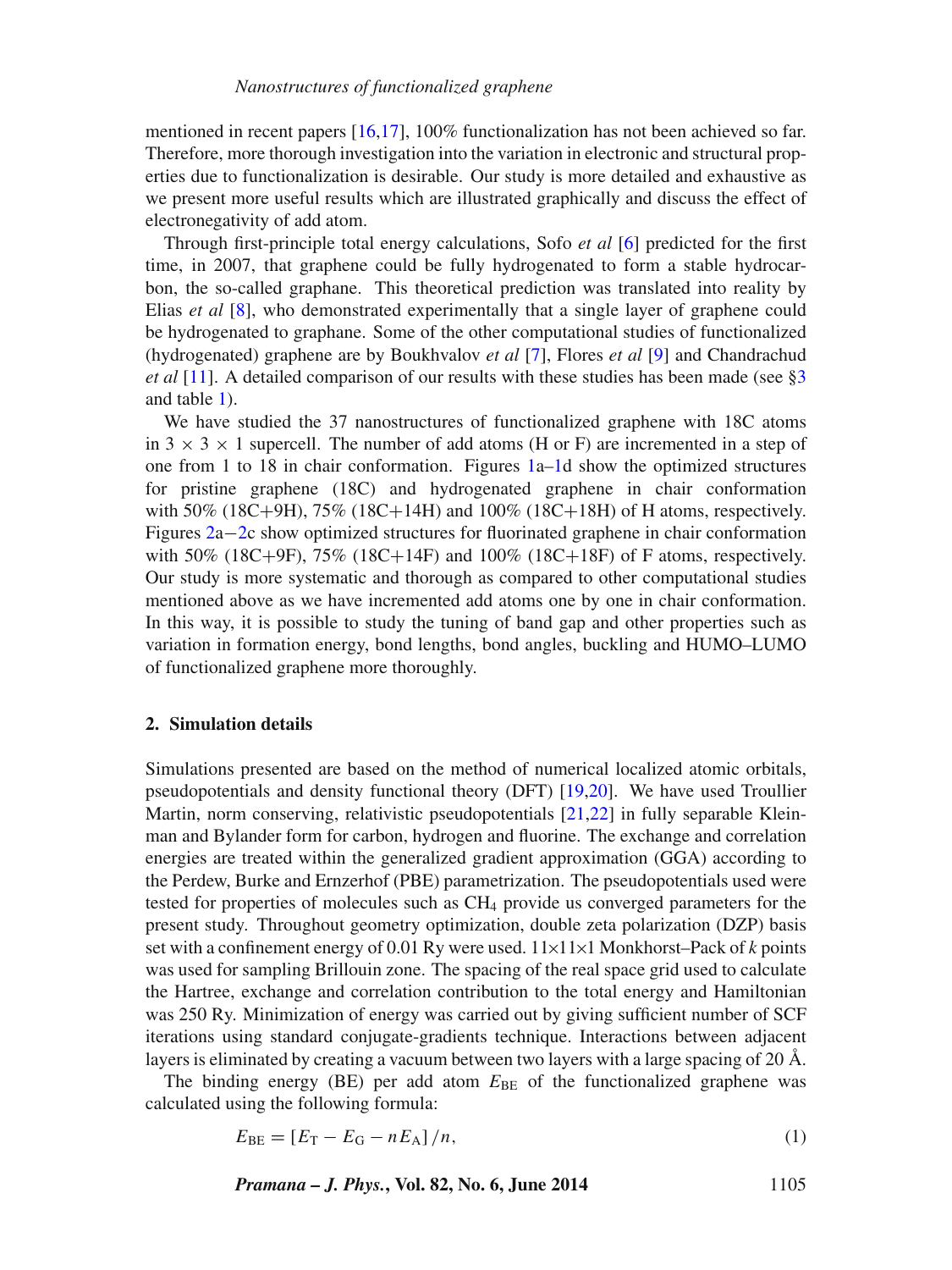mentioned in recent papers [\[16](#page-14-0)[,17\]](#page-14-1), 100% functionalization has not been achieved so far. Therefore, more thorough investigation into the variation in electronic and structural properties due to functionalization is desirable. Our study is more detailed and exhaustive as we present more useful results which are illustrated graphically and discuss the effect of electronegativity of add atom.

Through first-principle total energy calculations, Sofo *et al* [\[6\]](#page-13-4) predicted for the first time, in 2007, that graphene could be fully hydrogenated to form a stable hydrocarbon, the so-called graphane. This theoretical prediction was translated into reality by Elias *et al* [\[8\]](#page-13-6), who demonstrated experimentally that a single layer of graphene could be hydrogenated to graphane. Some of the other computational studies of functionalized (hydrogenated) graphene are by Boukhvalov *et al* [\[7\]](#page-13-7), Flores *et al* [\[9\]](#page-13-8) and Chandrachud *et al* [\[11\]](#page-14-5). A detailed comparison of our results with these studies has been made (see [§3](#page-5-0)) and table [1\)](#page-3-0).

We have studied the 37 nanostructures of functionalized graphene with 18C atoms in  $3 \times 3 \times 1$  supercell. The number of add atoms (H or F) are incremented in a step of one from 1 to 18 in chair conformation. Figures  $1a-1d$  show the optimized structures for pristine graphene (18C) and hydrogenated graphene in chair conformation with 50% (18C+9H), 75% (18C+14H) and 100% (18C+18H) of H atoms, respectively. Figures [2a](#page-4-1)−[2c](#page-4-1) show optimized structures for fluorinated graphene in chair conformation with 50% (18C+9F), 75% (18C+14F) and 100% (18C+18F) of F atoms, respectively. Our study is more systematic and thorough as compared to other computational studies mentioned above as we have incremented add atoms one by one in chair conformation. In this way, it is possible to study the tuning of band gap and other properties such as variation in formation energy, bond lengths, bond angles, buckling and HUMO–LUMO of functionalized graphene more thoroughly.

#### <span id="page-2-1"></span>**2. Simulation details**

Simulations presented are based on the method of numerical localized atomic orbitals, pseudopotentials and density functional theory (DFT) [\[19,](#page-14-3)[20\]](#page-14-4). We have used Troullier Martin, norm conserving, relativistic pseudopotentials [\[21,](#page-14-6)[22\]](#page-14-7) in fully separable Kleinman and Bylander form for carbon, hydrogen and fluorine. The exchange and correlation energies are treated within the generalized gradient approximation (GGA) according to the Perdew, Burke and Ernzerhof (PBE) parametrization. The pseudopotentials used were tested for properties of molecules such as CH4 provide us converged parameters for the present study. Throughout geometry optimization, double zeta polarization (DZP) basis set with a confinement energy of 0.01 Ry were used. 11×11×1 Monkhorst–Pack of *k* points was used for sampling Brillouin zone. The spacing of the real space grid used to calculate the Hartree, exchange and correlation contribution to the total energy and Hamiltonian was 250 Ry. Minimization of energy was carried out by giving sufficient number of SCF iterations using standard conjugate-gradients technique. Interactions between adjacent layers is eliminated by creating a vacuum between two layers with a large spacing of 20 Å.

The binding energy (BE) per add atom  $E_{BE}$  of the functionalized graphene was calculated using the following formula:

<span id="page-2-0"></span>
$$
E_{\rm BE} = [E_{\rm T} - E_{\rm G} - nE_{\rm A}]/n, \tag{1}
$$

*Pramana – J. Phys.***, Vol. 82, No. 6, June 2014** 1105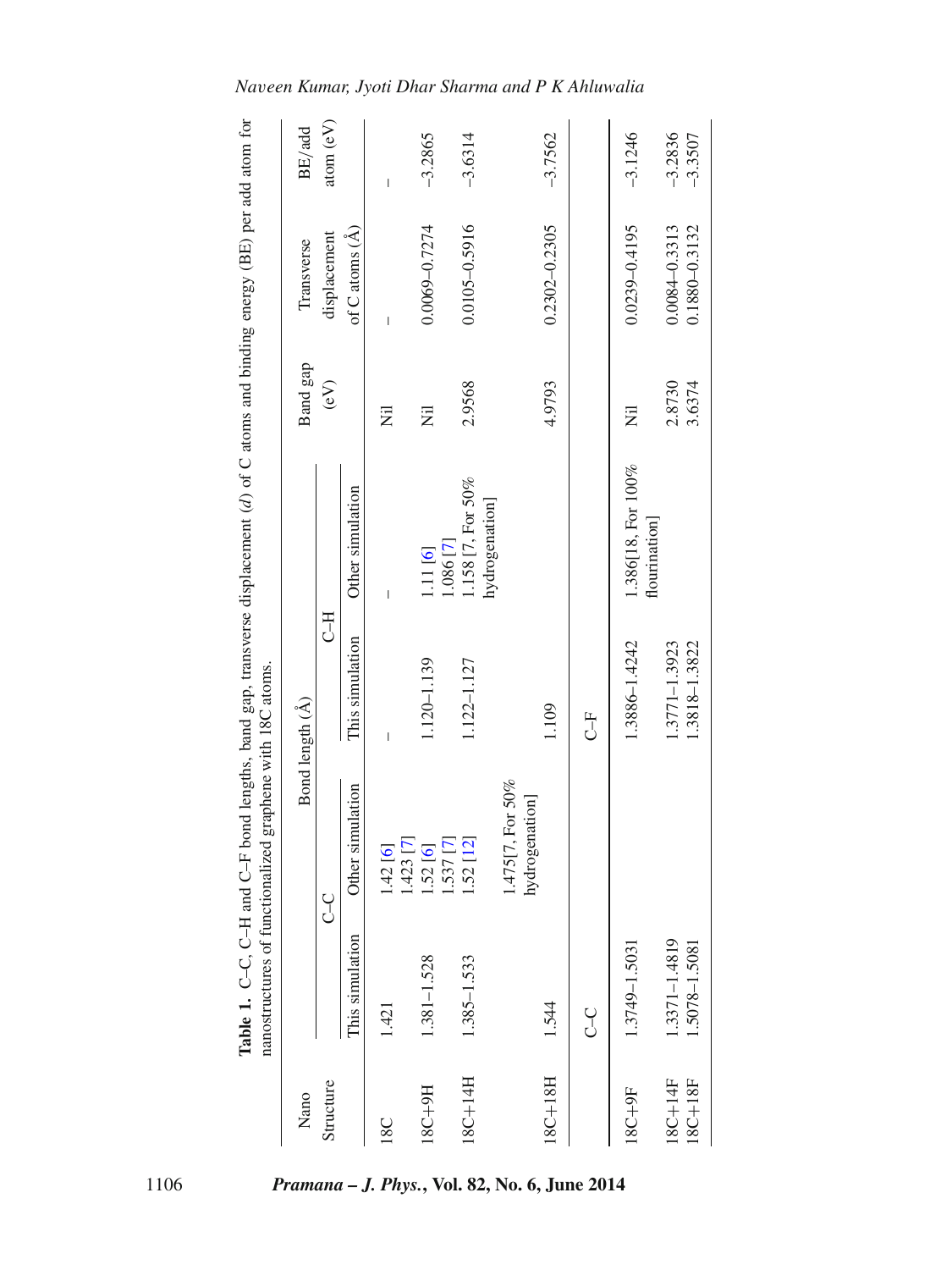|                          | Table 1. C-C.<br>nanostructures | of functionalized graphene with 18C atoms. |                                | C-H and C-F bond lengths, band gap, transverse displacement (d) of C atoms and binding energy (BE) per add atom for |                  |                                        |                        |
|--------------------------|---------------------------------|--------------------------------------------|--------------------------------|---------------------------------------------------------------------------------------------------------------------|------------------|----------------------------------------|------------------------|
| Nano                     |                                 |                                            | Bond length (Å)                |                                                                                                                     | Band gap         | Transverse                             | BE/add                 |
| Structure                |                                 | U<br>J                                     | HU                             |                                                                                                                     | $\epsilon$ V)    | displacement                           | atom(eV)               |
|                          | This simulation                 | Other simulation                           | This simulation                | Other simulation                                                                                                    |                  | of $C$ atoms $(\AA)$                   |                        |
| 18C                      | 1.421                           | $1.423$ [7]<br>1.42[6]                     | I                              | Ī                                                                                                                   | Ξ                | $\overline{\phantom{a}}$               | I                      |
| H6+281                   | 1.381-1.528                     | $1.537$ [7]<br>1.52[6]                     | 1.120-1.139                    | 1.086 [7]<br>1.11 [6]                                                                                               | Ē                | $0.0069 - 0.7274$                      | $-3.2865$              |
| 18C+14H                  | 1.385-1.533                     | $-.52[12]$                                 | 1.122-1.127                    | 1.158 [7, For 50%<br>hydrogenation]                                                                                 | 2.9568           | $0.0105 - 0.5916$                      | $-3.6314$              |
|                          |                                 | $1.475[7, For 50\%$<br>hydrogenation]      |                                |                                                                                                                     |                  |                                        |                        |
| 18C+18H                  | 1.544                           |                                            | 1.109                          |                                                                                                                     | 4.9793           | $0.2302 - 0.2305$                      | $-3.7562$              |
|                          | Y                               |                                            | H<br>J                         |                                                                                                                     |                  |                                        |                        |
| 18C+9F                   | 1.3749-1.5031                   |                                            | 1.3886-1.4242                  | 1.386[18, For 100%<br>flourination                                                                                  | Ē                | $0.0239 - 0.4195$                      | $-3.1246$              |
| $18C + 18F$<br>$18C+14F$ | 1.3371-1.4819<br>1.5078-1.5081  |                                            | 1.3771-1.3923<br>1.3818-1.3822 |                                                                                                                     | 2.8730<br>3.6374 | $0.0084 - 0.3313$<br>$0.1880 - 0.3132$ | $-3.2836$<br>$-3.3507$ |

*Naveen Kumar, Jyoti Dhar Sharma and P K Ahluwalia*

<span id="page-3-0"></span>1106 *Pramana – J. Phys.***, Vol. 82, No. 6, June 2014**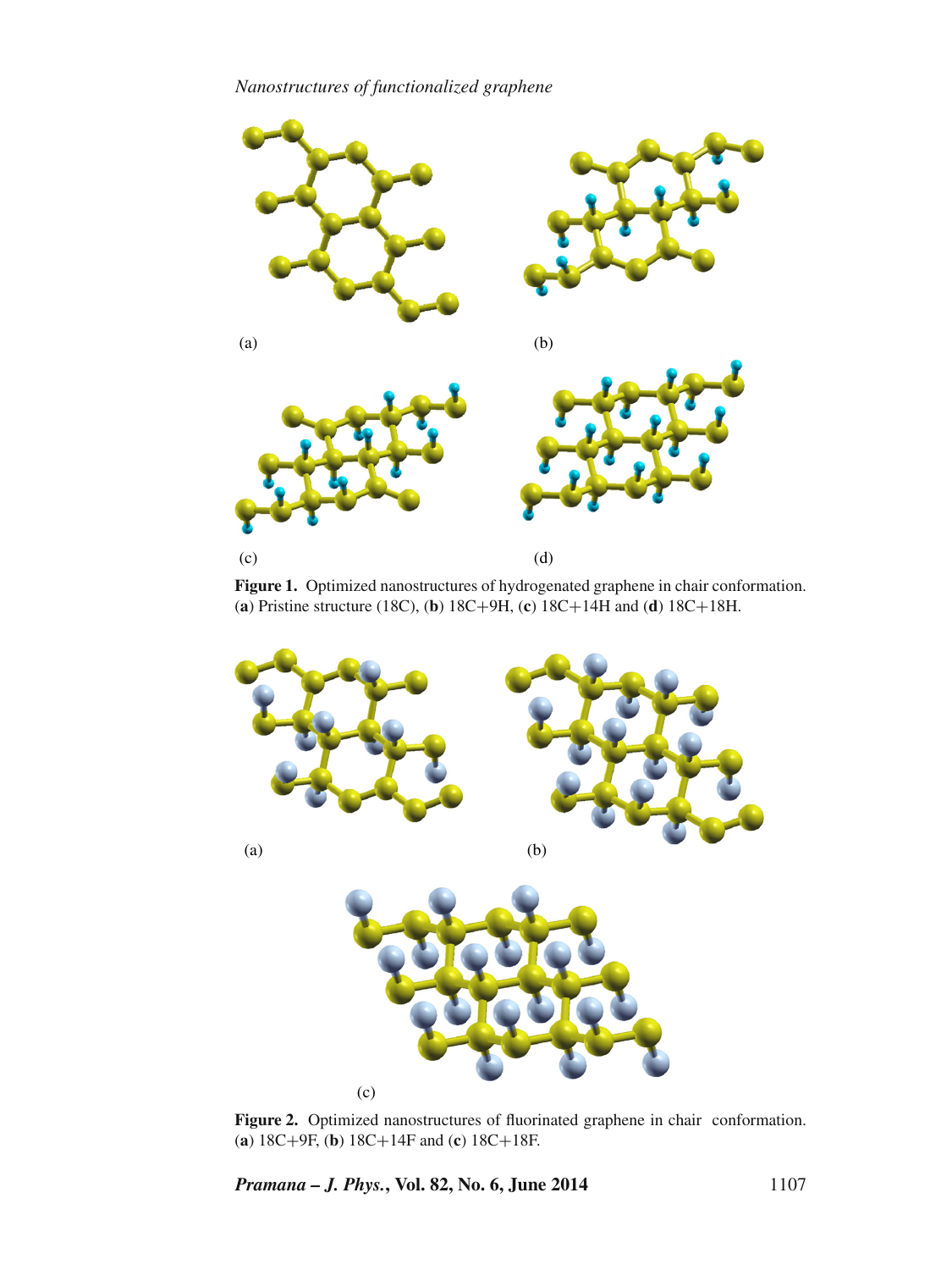*Nanostructures of functionalized graphene*

<span id="page-4-0"></span>

**Figure 1.** Optimized nanostructures of hydrogenated graphene in chair conformation. (**a**) Pristine structure (18C), (**b**) 18C+9H, (**c**) 18C+14H and (**d**) 18C+18H.

<span id="page-4-1"></span>

**Figure 2.** Optimized nanostructures of fluorinated graphene in chair conformation. (**a**) 18C+9F, (**b**) 18C+14F and (**c**) 18C+18F.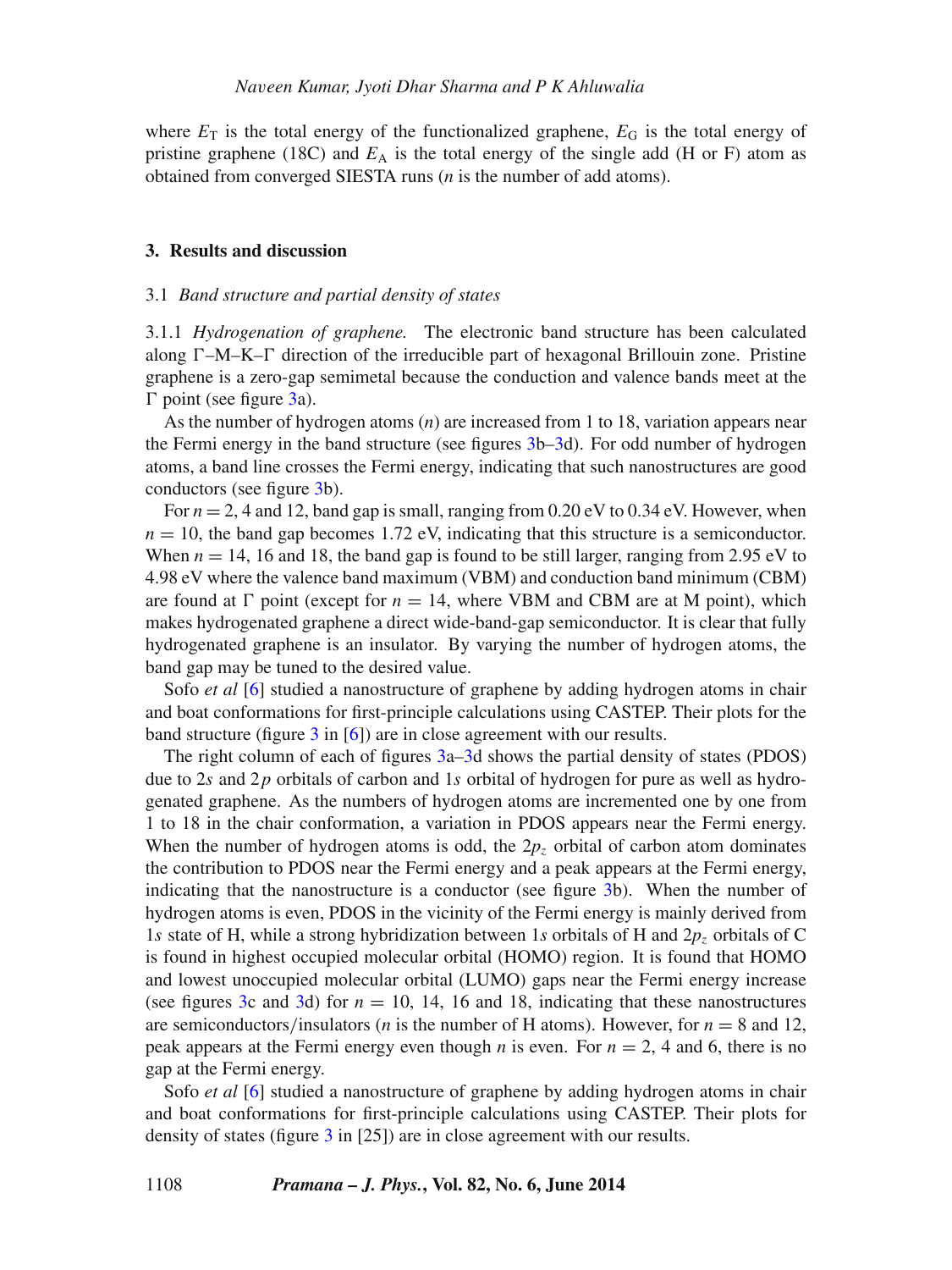where  $E_T$  is the total energy of the functionalized graphene,  $E_G$  is the total energy of pristine graphene (18C) and  $E_A$  is the total energy of the single add (H or F) atom as obtained from converged SIESTA runs (*n* is the number of add atoms).

## <span id="page-5-0"></span>**3. Results and discussion**

#### 3.1 *Band structure and partial density of states*

3.1.1 *Hydrogenation of graphene.* The electronic band structure has been calculated along  $\Gamma$ –M–K– $\Gamma$  direction of the irreducible part of hexagonal Brillouin zone. Pristine graphene is a zero-gap semimetal because the conduction and valence bands meet at the *-* point (see figure [3a](#page-6-0)).

As the number of hydrogen atoms (*n*) are increased from 1 to 18, variation appears near the Fermi energy in the band structure (see figures [3b–3d](#page-6-0)). For odd number of hydrogen atoms, a band line crosses the Fermi energy, indicating that such nanostructures are good conductors (see figure [3b](#page-6-0)).

For  $n = 2$ , 4 and 12, band gap is small, ranging from  $0.20 \text{ eV}$  to  $0.34 \text{ eV}$ . However, when  $n = 10$ , the band gap becomes 1.72 eV, indicating that this structure is a semiconductor. When  $n = 14$ , 16 and 18, the band gap is found to be still larger, ranging from 2.95 eV to 4.98 eV where the valence band maximum (VBM) and conduction band minimum (CBM) are found at  $\Gamma$  point (except for  $n = 14$ , where VBM and CBM are at M point), which makes hydrogenated graphene a direct wide-band-gap semiconductor. It is clear that fully hydrogenated graphene is an insulator. By varying the number of hydrogen atoms, the band gap may be tuned to the desired value.

Sofo *et al* [\[6\]](#page-13-4) studied a nanostructure of graphene by adding hydrogen atoms in chair and boat conformations for first-principle calculations using CASTEP. Their plots for the band structure (figure  $3$  in [\[6\]](#page-13-4)) are in close agreement with our results.

The right column of each of figures [3a–3d](#page-6-0) shows the partial density of states (PDOS) due to 2*s* and 2*p* orbitals of carbon and 1*s* orbital of hydrogen for pure as well as hydrogenated graphene. As the numbers of hydrogen atoms are incremented one by one from 1 to 18 in the chair conformation, a variation in PDOS appears near the Fermi energy. When the number of hydrogen atoms is odd, the  $2p<sub>z</sub>$  orbital of carbon atom dominates the contribution to PDOS near the Fermi energy and a peak appears at the Fermi energy, indicating that the nanostructure is a conductor (see figure [3b](#page-6-0)). When the number of hydrogen atoms is even, PDOS in the vicinity of the Fermi energy is mainly derived from 1*s* state of H, while a strong hybridization between 1*s* orbitals of H and 2*p<sup>z</sup>* orbitals of C is found in highest occupied molecular orbital (HOMO) region. It is found that HOMO and lowest unoccupied molecular orbital (LUMO) gaps near the Fermi energy increase (see figures [3c](#page-6-0) and [3d](#page-6-0)) for  $n = 10$ , 14, 16 and 18, indicating that these nanostructures are semiconductors/insulators (*n* is the number of H atoms). However, for  $n = 8$  and 12, peak appears at the Fermi energy even though *n* is even. For  $n = 2$ , 4 and 6, there is no gap at the Fermi energy.

Sofo *et al* [\[6\]](#page-13-4) studied a nanostructure of graphene by adding hydrogen atoms in chair and boat conformations for first-principle calculations using CASTEP. Their plots for density of states (figure [3](#page-6-0) in [25]) are in close agreement with our results.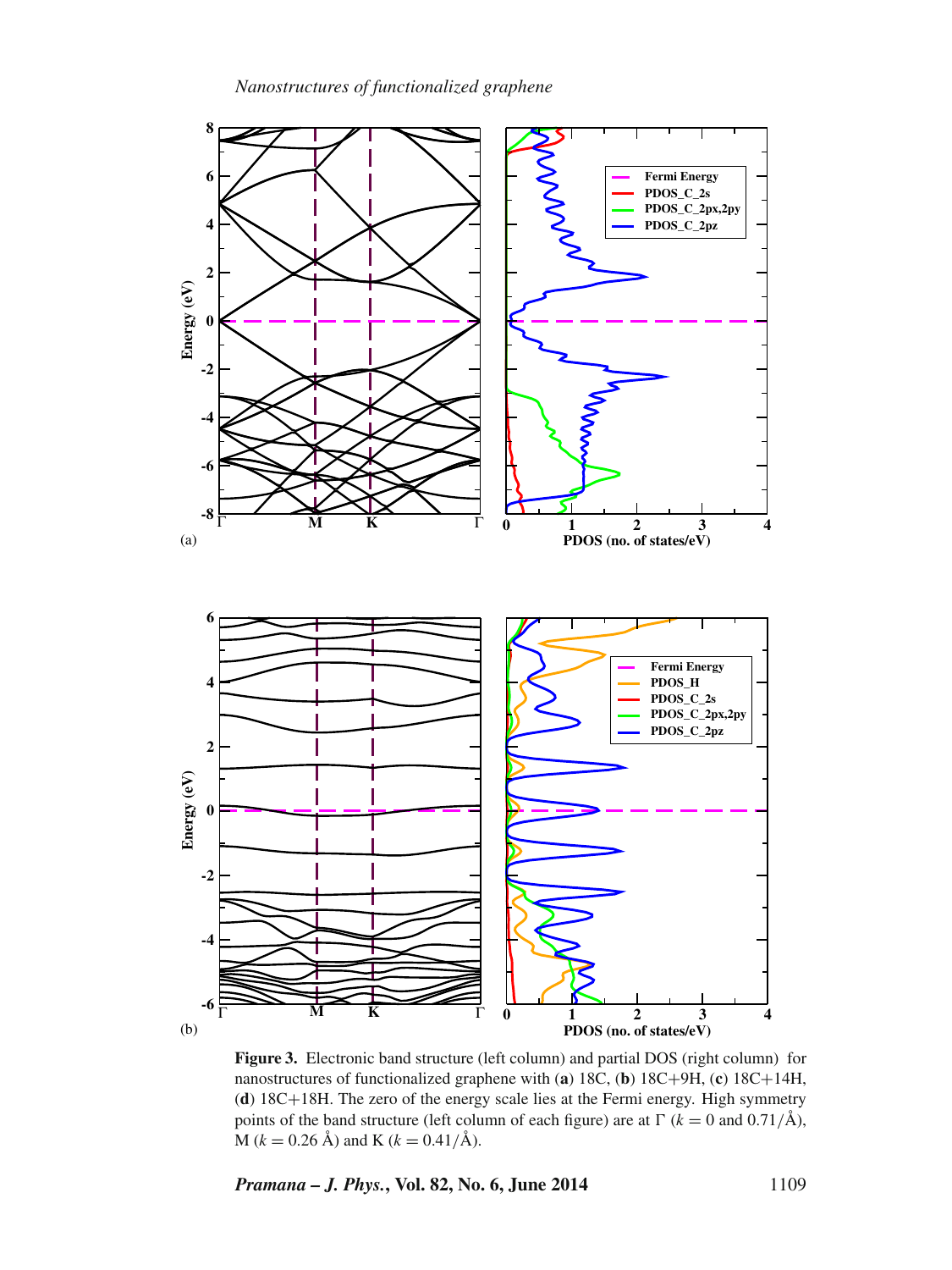*Nanostructures of functionalized graphene*

<span id="page-6-0"></span>

Figure 3. Electronic band structure (left column) and partial DOS (right column) for nanostructures of functionalized graphene with (**a**) 18C, (**b**) 18C+9H, (**c**) 18C+14H, (**d**) 18C+18H. The zero of the energy scale lies at the Fermi energy. High symmetry points of the band structure (left column of each figure) are at  $\Gamma$  ( $k = 0$  and 0.71/Å),  $M (k = 0.26 \text{ Å})$  and K ( $k = 0.41/\text{Å}$ ).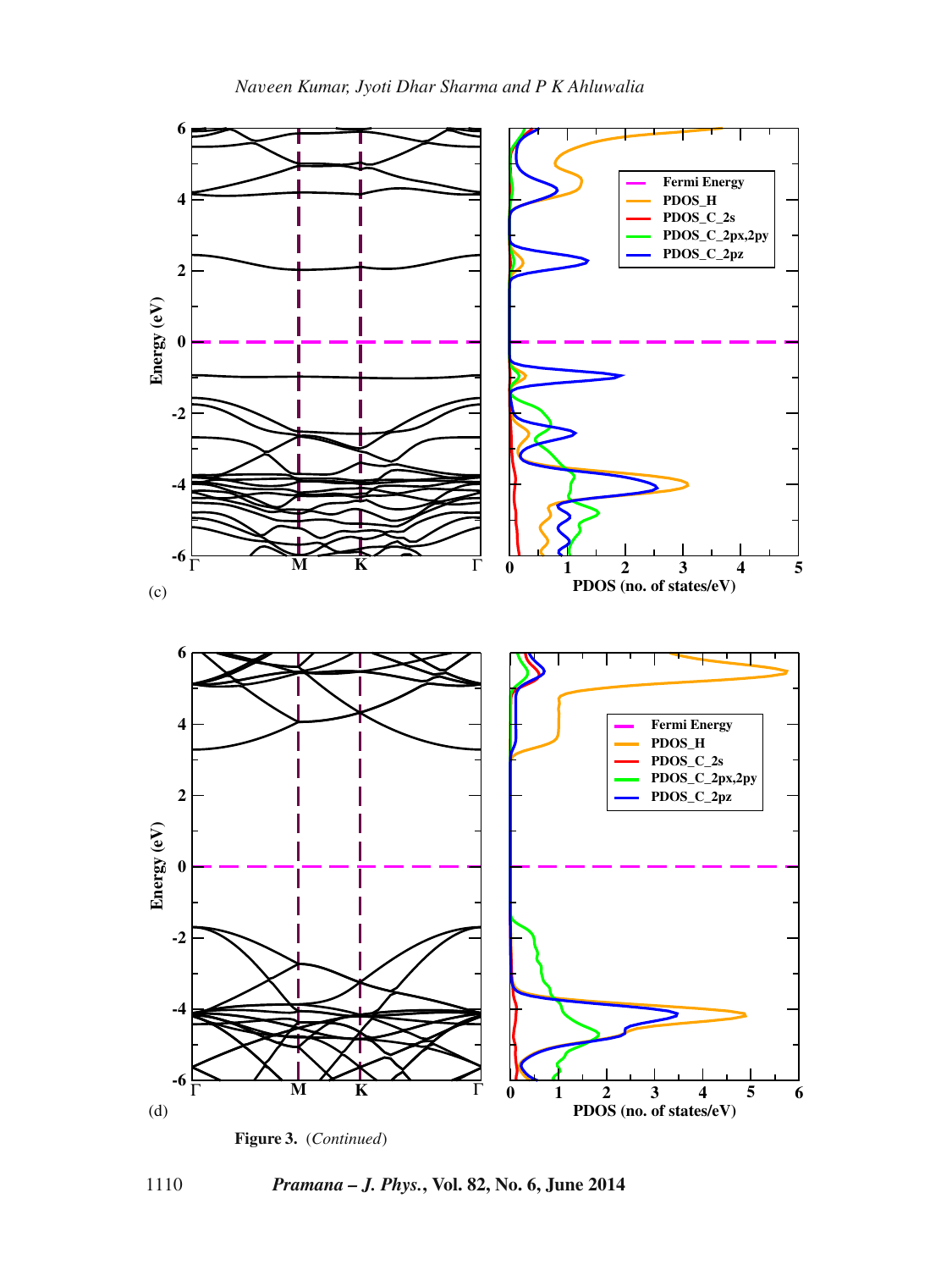





1110 *Pramana – J. Phys.***, Vol. 82, No. 6, June 2014**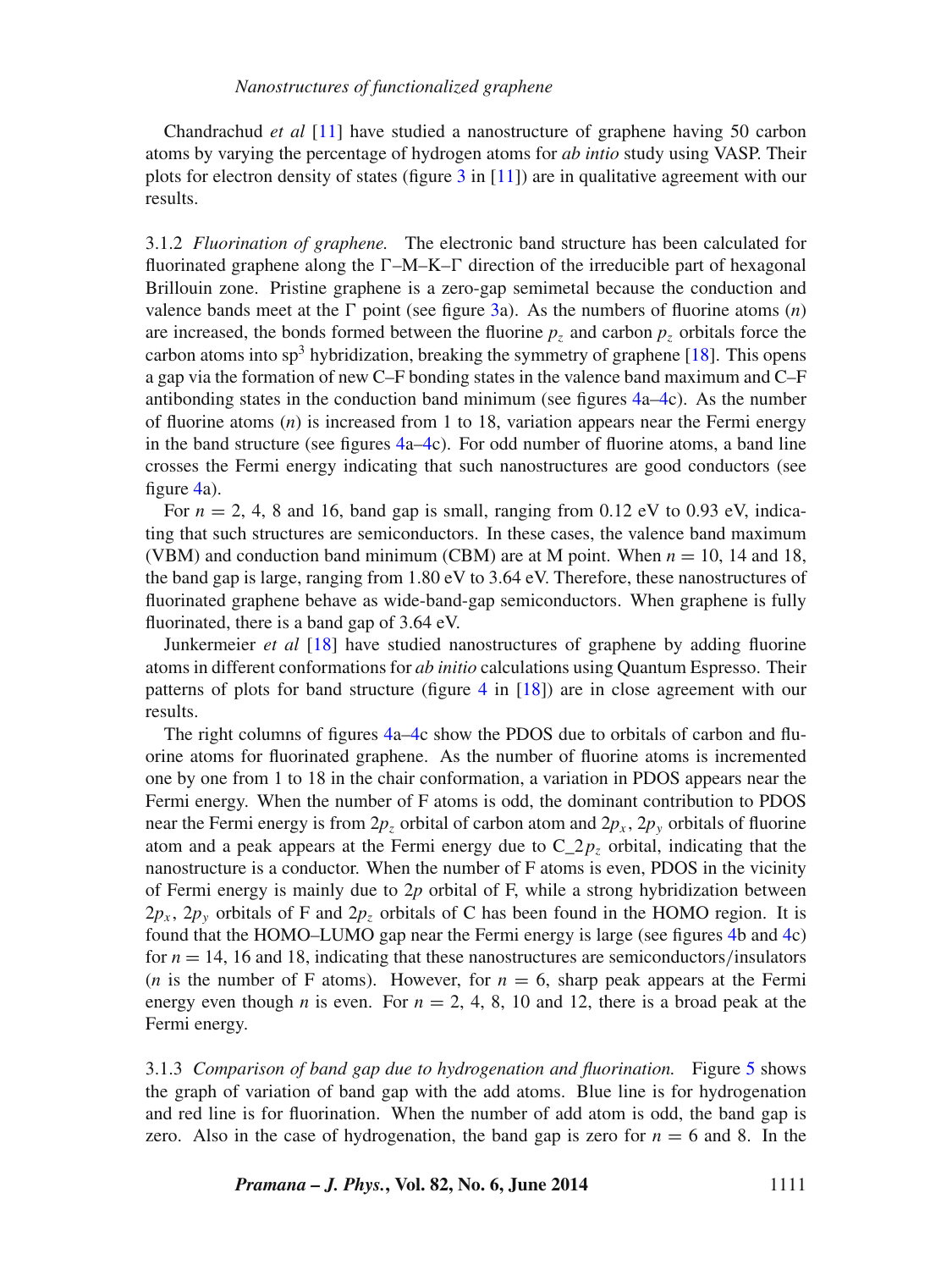Chandrachud *et al* [\[11\]](#page-14-5) have studied a nanostructure of graphene having 50 carbon atoms by varying the percentage of hydrogen atoms for *ab intio* study using VASP. Their plots for electron density of states (figure  $3$  in [\[11\]](#page-14-5)) are in qualitative agreement with our results.

3.1.2 *Fluorination of graphene.* The electronic band structure has been calculated for fluorinated graphene along the *-*–M–K–*-* direction of the irreducible part of hexagonal Brillouin zone. Pristine graphene is a zero-gap semimetal because the conduction and valence bands meet at the  $\Gamma$  point (see figure [3a](#page-6-0)). As the numbers of fluorine atoms  $(n)$ are increased, the bonds formed between the fluorine  $p_z$  and carbon  $p_z$  orbitals force the carbon atoms into sp<sup>3</sup> hybridization, breaking the symmetry of graphene [\[18\]](#page-14-2). This opens a gap via the formation of new C–F bonding states in the valence band maximum and C–F antibonding states in the conduction band minimum (see figures [4a–4c](#page-9-0)). As the number of fluorine atoms (*n*) is increased from 1 to 18, variation appears near the Fermi energy in the band structure (see figures  $4a-4c$ ). For odd number of fluorine atoms, a band line crosses the Fermi energy indicating that such nanostructures are good conductors (see figure [4a](#page-9-0)).

For  $n = 2, 4, 8$  and 16, band gap is small, ranging from 0.12 eV to 0.93 eV, indicating that such structures are semiconductors. In these cases, the valence band maximum (VBM) and conduction band minimum (CBM) are at M point. When *n* = 10, 14 and 18, the band gap is large, ranging from 1.80 eV to 3.64 eV. Therefore, these nanostructures of fluorinated graphene behave as wide-band-gap semiconductors. When graphene is fully fluorinated, there is a band gap of 3.64 eV.

Junkermeier *et al* [\[18\]](#page-14-2) have studied nanostructures of graphene by adding fluorine atoms in different conformations for *ab initio* calculations using Quantum Espresso. Their patterns of plots for band structure (figure [4](#page-9-0) in [\[18\]](#page-14-2)) are in close agreement with our results.

The right columns of figures [4a–4c](#page-9-0) show the PDOS due to orbitals of carbon and fluorine atoms for fluorinated graphene. As the number of fluorine atoms is incremented one by one from 1 to 18 in the chair conformation, a variation in PDOS appears near the Fermi energy. When the number of F atoms is odd, the dominant contribution to PDOS near the Fermi energy is from  $2p_z$  orbital of carbon atom and  $2p_x$ ,  $2p_y$  orbitals of fluorine atom and a peak appears at the Fermi energy due to  $C_2p_z$  orbital, indicating that the nanostructure is a conductor. When the number of F atoms is even, PDOS in the vicinity of Fermi energy is mainly due to 2*p* orbital of F, while a strong hybridization between  $2p_x$ ,  $2p_y$  orbitals of F and  $2p_z$  orbitals of C has been found in the HOMO region. It is found that the HOMO–LUMO gap near the Fermi energy is large (see figures [4b](#page-9-0) and [4c](#page-9-0)) for  $n = 14$ , 16 and 18, indicating that these nanostructures are semiconductors/insulators (*n* is the number of F atoms). However, for  $n = 6$ , sharp peak appears at the Fermi energy even though *n* is even. For  $n = 2, 4, 8, 10$  and 12, there is a broad peak at the Fermi energy.

3.1.3 *Comparison of band gap due to hydrogenation and fluorination.* Figure [5](#page-10-0) shows the graph of variation of band gap with the add atoms. Blue line is for hydrogenation and red line is for fluorination. When the number of add atom is odd, the band gap is zero. Also in the case of hydrogenation, the band gap is zero for  $n = 6$  and 8. In the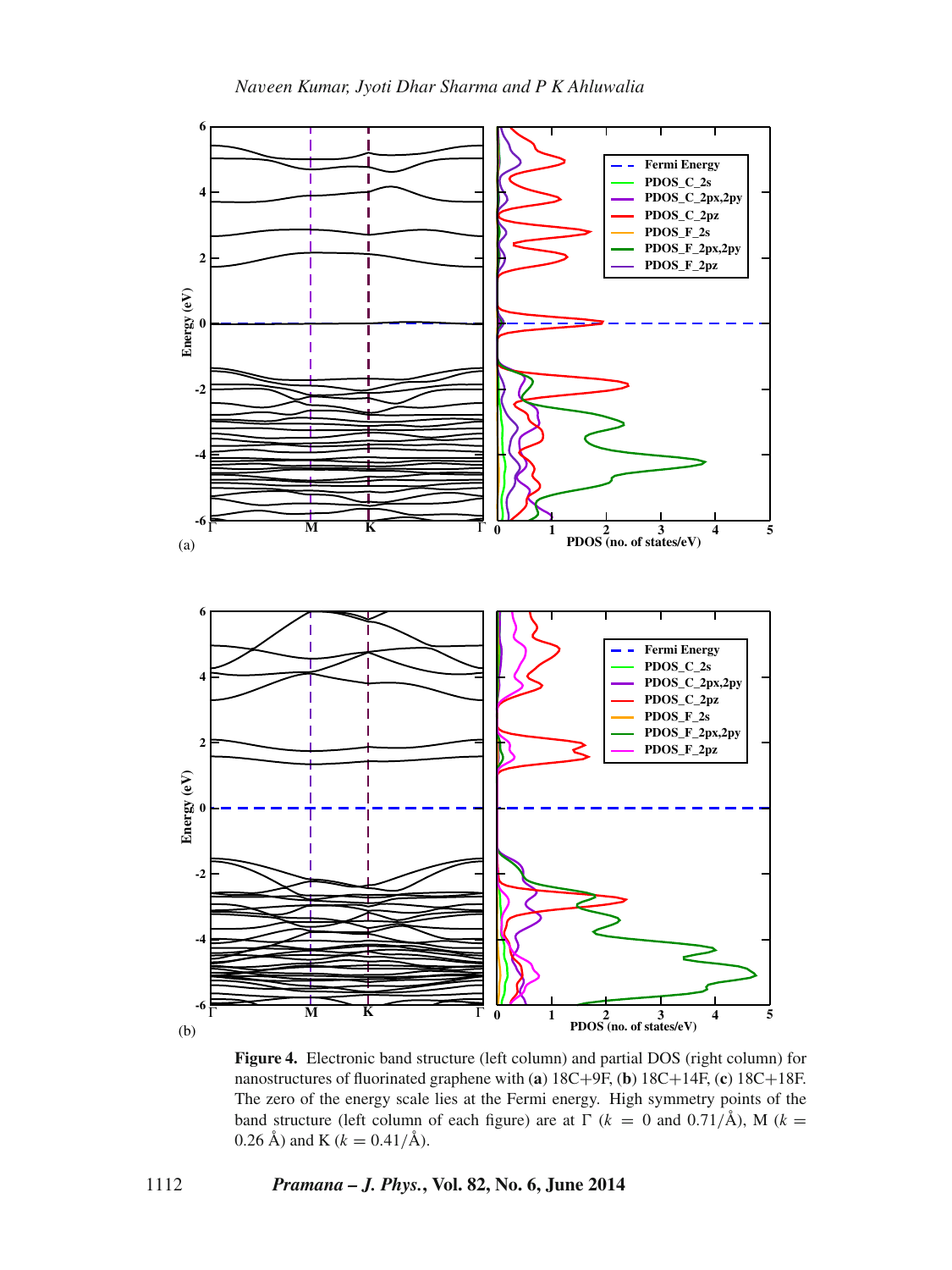<span id="page-9-0"></span>

**Figure 4.** Electronic band structure (left column) and partial DOS (right column) for nanostructures of fluorinated graphene with (**a**) 18C+9F, (**b**) 18C+14F, (**c**) 18C+18F. The zero of the energy scale lies at the Fermi energy. High symmetry points of the band structure (left column of each figure) are at  $\Gamma$  ( $k = 0$  and 0.71/Å), M ( $k =$ 0.26 Å) and K ( $k = 0.41/\text{\AA}$ ).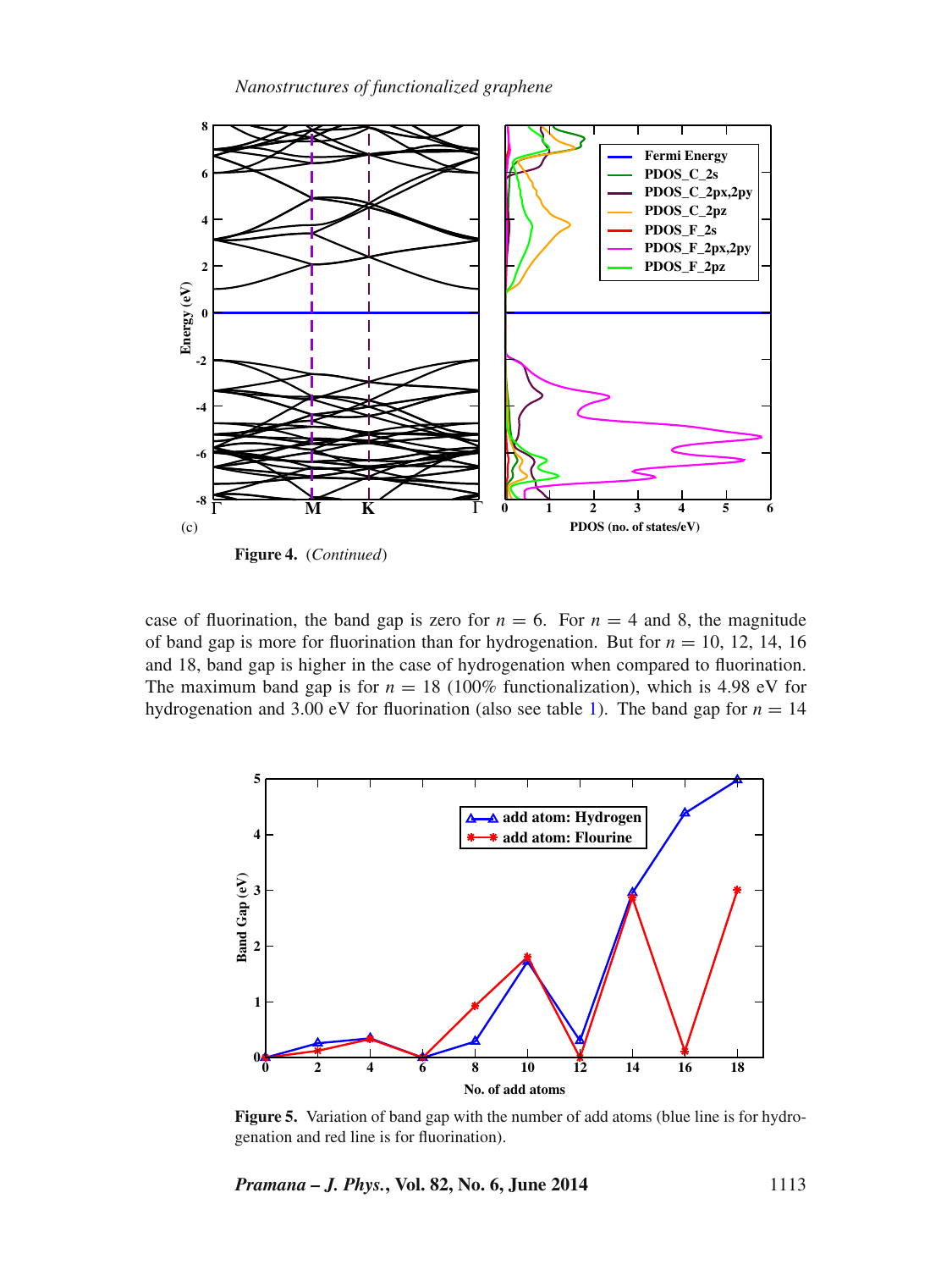

case of fluorination, the band gap is zero for  $n = 6$ . For  $n = 4$  and 8, the magnitude of band gap is more for fluorination than for hydrogenation. But for  $n = 10, 12, 14, 16$ and 18, band gap is higher in the case of hydrogenation when compared to fluorination. The maximum band gap is for  $n = 18$  (100% functionalization), which is 4.98 eV for hydrogenation and 3.00 eV for fluorination (also see table [1\)](#page-3-0). The band gap for  $n = 14$ 

<span id="page-10-0"></span>

**Figure 5.** Variation of band gap with the number of add atoms (blue line is for hydrogenation and red line is for fluorination).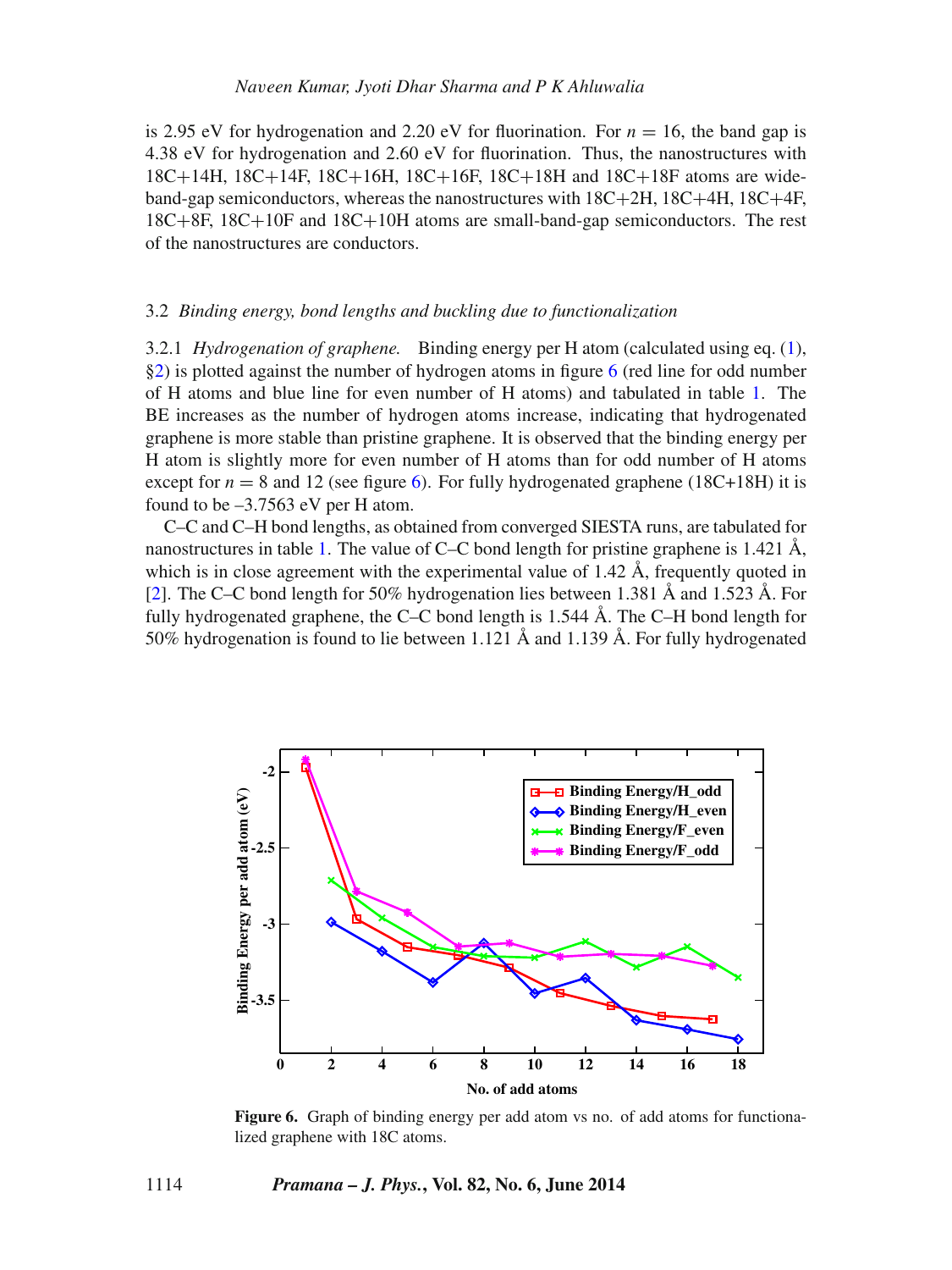is 2.95 eV for hydrogenation and 2.20 eV for fluorination. For  $n = 16$ , the band gap is 4.38 eV for hydrogenation and 2.60 eV for fluorination. Thus, the nanostructures with 18C+14H, 18C+14F, 18C+16H, 18C+16F, 18C+18H and 18C+18F atoms are wideband-gap semiconductors, whereas the nanostructures with 18C+2H, 18C+4H, 18C+4F, 18C+8F, 18C+10F and 18C+10H atoms are small-band-gap semiconductors. The rest of the nanostructures are conductors.

## 3.2 *Binding energy, bond lengths and buckling due to functionalization*

3.2.1 *Hydrogenation of graphene.* Binding energy per H atom (calculated using eq. [\(1\)](#page-2-0), [§2\)](#page-2-1) is plotted against the number of hydrogen atoms in figure [6](#page-11-0) (red line for odd number of H atoms and blue line for even number of H atoms) and tabulated in table [1.](#page-3-0) The BE increases as the number of hydrogen atoms increase, indicating that hydrogenated graphene is more stable than pristine graphene. It is observed that the binding energy per H atom is slightly more for even number of H atoms than for odd number of H atoms except for  $n = 8$  and 12 (see figure [6\)](#page-11-0). For fully hydrogenated graphene (18C+18H) it is found to be  $-3.7563$  eV per H atom.

C–C and C–H bond lengths, as obtained from converged SIESTA runs, are tabulated for nanostructures in table [1.](#page-3-0) The value of C–C bond length for pristine graphene is 1.421  $\AA$ , which is in close agreement with the experimental value of 1.42  $\AA$ , frequently quoted in [\[2\]](#page-13-1). The C–C bond length for 50% hydrogenation lies between 1.381 Å and 1.523 Å. For fully hydrogenated graphene, the C–C bond length is 1.544 Å. The C–H bond length for 50% hydrogenation is found to lie between 1.121 Å and 1.139 Å. For fully hydrogenated

<span id="page-11-0"></span>

**Figure 6.** Graph of binding energy per add atom vs no. of add atoms for functionalized graphene with 18C atoms.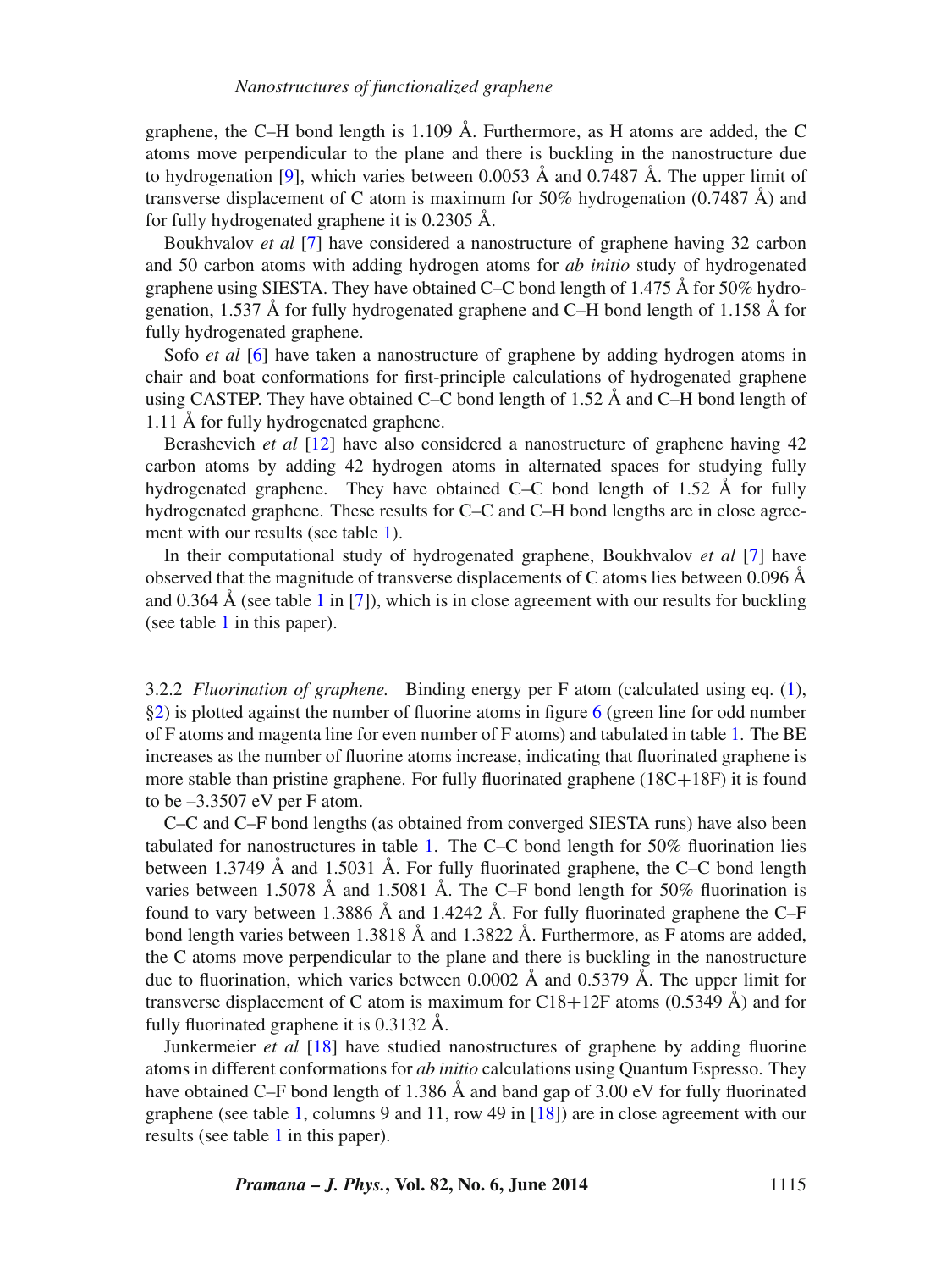graphene, the C–H bond length is 1.109 Å. Furthermore, as H atoms are added, the C atoms move perpendicular to the plane and there is buckling in the nanostructure due to hydrogenation [\[9\]](#page-13-8), which varies between 0.0053  $\AA$  and 0.7487  $\AA$ . The upper limit of transverse displacement of C atom is maximum for  $50\%$  hydrogenation (0.7487 Å) and for fully hydrogenated graphene it is 0.2305 Å.

Boukhvalov *et al* [\[7\]](#page-13-7) have considered a nanostructure of graphene having 32 carbon and 50 carbon atoms with adding hydrogen atoms for *ab initio* study of hydrogenated graphene using SIESTA. They have obtained C–C bond length of 1.475 Å for 50% hydrogenation, 1.537 Å for fully hydrogenated graphene and C–H bond length of 1.158 Å for fully hydrogenated graphene.

Sofo *et al* [\[6\]](#page-13-4) have taken a nanostructure of graphene by adding hydrogen atoms in chair and boat conformations for first-principle calculations of hydrogenated graphene using CASTEP. They have obtained C–C bond length of 1.52  $\AA$  and C–H bond length of 1.11 Å for fully hydrogenated graphene.

Berashevich *et al* [\[12\]](#page-14-8) have also considered a nanostructure of graphene having 42 carbon atoms by adding 42 hydrogen atoms in alternated spaces for studying fully hydrogenated graphene. They have obtained C–C bond length of 1.52  $\AA$  for fully hydrogenated graphene. These results for C–C and C–H bond lengths are in close agree-ment with our results (see table [1\)](#page-3-0).

In their computational study of hydrogenated graphene, Boukhvalov *et al* [\[7\]](#page-13-7) have observed that the magnitude of transverse displacements of C atoms lies between 0.096  $\AA$ and 0.364 Å (see table [1](#page-3-0) in [\[7\]](#page-13-7)), which is in close agreement with our results for buckling (see table [1](#page-3-0) in this paper).

3.2.2 *Fluorination of graphene.* Binding energy per F atom (calculated using eq. [\(1\)](#page-2-0), [§2\)](#page-2-1) is plotted against the number of fluorine atoms in figure [6](#page-11-0) (green line for odd number of F atoms and magenta line for even number of F atoms) and tabulated in table [1.](#page-3-0) The BE increases as the number of fluorine atoms increase, indicating that fluorinated graphene is more stable than pristine graphene. For fully fluorinated graphene  $(18C+18F)$  it is found to be –3.3507 eV per F atom.

C–C and C–F bond lengths (as obtained from converged SIESTA runs) have also been tabulated for nanostructures in table [1.](#page-3-0) The C–C bond length for 50% fluorination lies between 1.3749  $\AA$  and 1.5031  $\AA$ . For fully fluorinated graphene, the C–C bond length varies between 1.5078 Å and 1.5081 Å. The C–F bond length for 50% fluorination is found to vary between 1.3886 Å and 1.4242 Å. For fully fluorinated graphene the C–F bond length varies between 1.3818 Å and 1.3822 Å. Furthermore, as F atoms are added, the C atoms move perpendicular to the plane and there is buckling in the nanostructure due to fluorination, which varies between 0.0002  $\AA$  and 0.5379  $\AA$ . The upper limit for transverse displacement of C atom is maximum for C18+12F atoms  $(0.5349 \text{ Å})$  and for fully fluorinated graphene it is 0.3132 Å.

Junkermeier *et al* [\[18\]](#page-14-2) have studied nanostructures of graphene by adding fluorine atoms in different conformations for *ab initio* calculations using Quantum Espresso. They have obtained C–F bond length of 1.386 Å and band gap of 3.00 eV for fully fluorinated graphene (see table [1,](#page-3-0) columns 9 and 11, row 49 in [\[18\]](#page-14-2)) are in close agreement with our results (see table [1](#page-3-0) in this paper).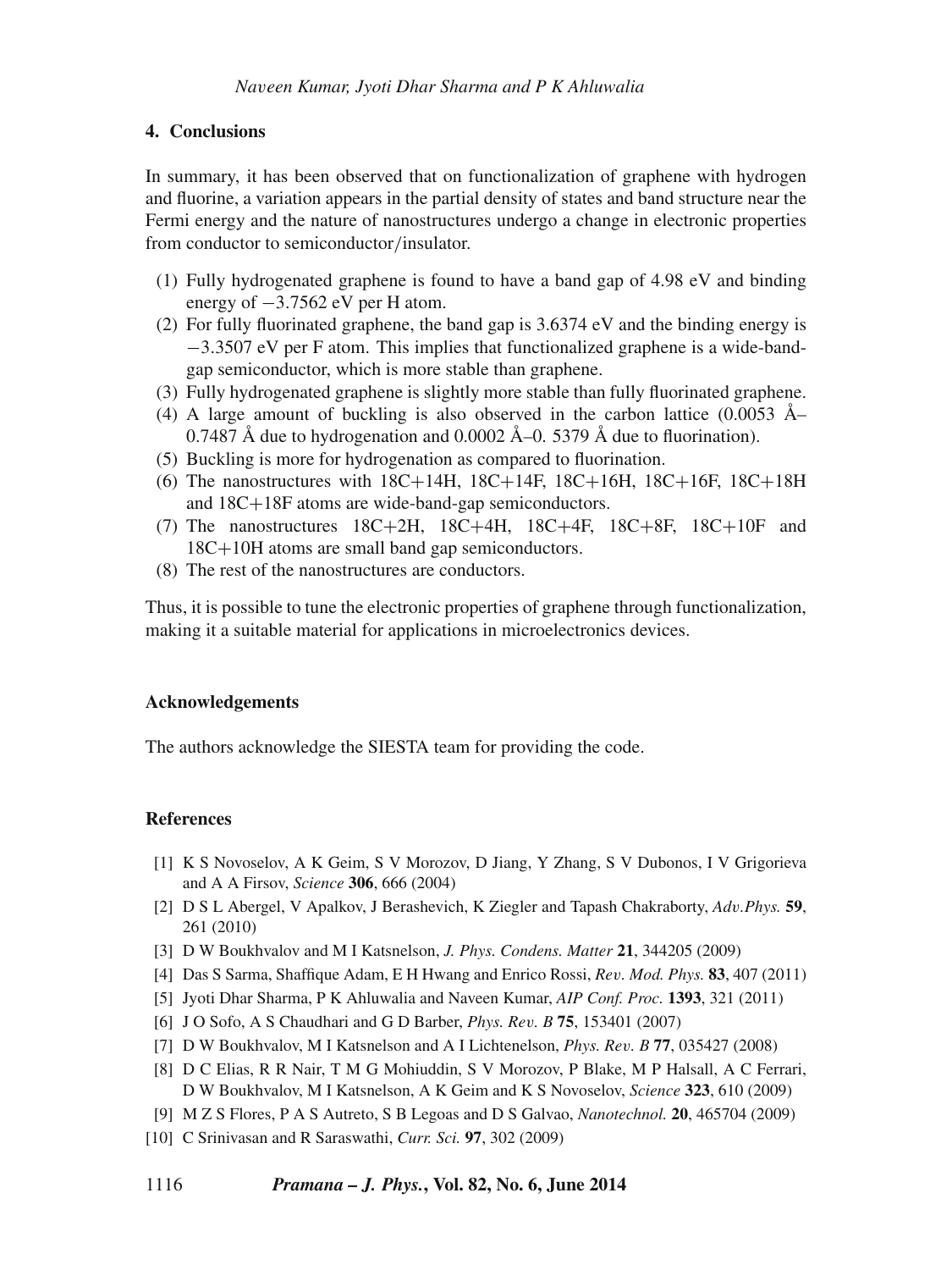## **4. Conclusions**

In summary, it has been observed that on functionalization of graphene with hydrogen and fluorine, a variation appears in the partial density of states and band structure near the Fermi energy and the nature of nanostructures undergo a change in electronic properties from conductor to semiconductor*/*insulator.

- (1) Fully hydrogenated graphene is found to have a band gap of 4.98 eV and binding energy of −3*.*7562 eV per H atom.
- (2) For fully fluorinated graphene, the band gap is 3.6374 eV and the binding energy is −3*.*3507 eV per F atom. This implies that functionalized graphene is a wide-bandgap semiconductor, which is more stable than graphene.
- (3) Fully hydrogenated graphene is slightly more stable than fully fluorinated graphene.
- (4) A large amount of buckling is also observed in the carbon lattice (0.0053  $\AA$ -0.7487 Å due to hydrogenation and 0.0002 Å–0. 5379 Å due to fluorination).
- (5) Buckling is more for hydrogenation as compared to fluorination.
- (6) The nanostructures with  $18C+14H$ ,  $18C+14F$ ,  $18C+16H$ ,  $18C+16F$ ,  $18C+18H$ and 18C+18F atoms are wide-band-gap semiconductors.
- (7) The nanostructures 18C+2H, 18C+4H, 18C+4F, 18C+8F, 18C+10F and 18C+10H atoms are small band gap semiconductors.
- (8) The rest of the nanostructures are conductors.

Thus, it is possible to tune the electronic properties of graphene through functionalization, making it a suitable material for applications in microelectronics devices.

## **Acknowledgements**

The authors acknowledge the SIESTA team for providing the code.

## **References**

- <span id="page-13-0"></span>[1] K S Novoselov, A K Geim, S V Morozov, D Jiang, Y Zhang, S V Dubonos, I V Grigorieva and A A Firsov, *Science* **306**, 666 (2004)
- <span id="page-13-1"></span>[2] D S L Abergel, V Apalkov, J Berashevich, K Ziegler and Tapash Chakraborty, *Adv.Phys.* **59**, 261 (2010)
- <span id="page-13-3"></span>[3] D W Boukhvalov and M I Katsnelson, *J. Phys. Condens. Matter* **21**, 344205 (2009)
- [4] Das S Sarma, Shaffique Adam, E H Hwang and Enrico Rossi, *Rev. Mod. Phys.* **83**, 407 (2011)
- <span id="page-13-2"></span>[5] Jyoti Dhar Sharma, P K Ahluwalia and Naveen Kumar, *AIP Conf. Proc.* **1393**, 321 (2011)
- <span id="page-13-4"></span>[6] J O Sofo, A S Chaudhari and G D Barber, *Phys. Rev. B* **75**, 153401 (2007)
- <span id="page-13-7"></span>[7] D W Boukhvalov, M I Katsnelson and A I Lichtenelson, *Phys. Rev. B* **77**, 035427 (2008)
- <span id="page-13-6"></span>[8] D C Elias, R R Nair, T M G Mohiuddin, S V Morozov, P Blake, M P Halsall, A C Ferrari, D W Boukhvalov, M I Katsnelson, A K Geim and K S Novoselov, *Science* **323**, 610 (2009)
- <span id="page-13-8"></span>[9] M Z S Flores, P A S Autreto, S B Legoas and D S Galvao, *Nanotechnol.* **20**, 465704 (2009)
- <span id="page-13-5"></span>[10] C Srinivasan and R Saraswathi, *Curr. Sci.* **97**, 302 (2009)